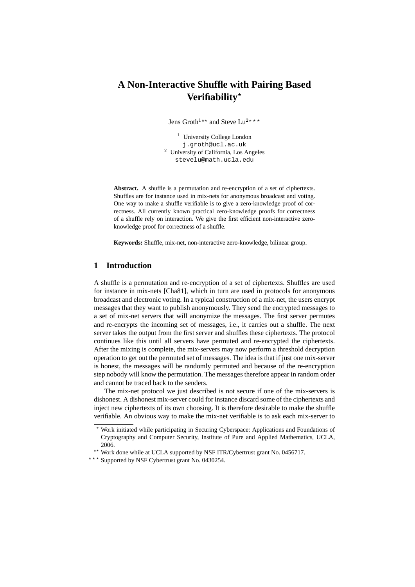# **A Non-Interactive Shuffle with Pairing Based Verifiability**?

Jens Groth<sup>1\*\*</sup> and Steve Lu<sup>2\*\*\*</sup>

<sup>1</sup> University College London j.groth@ucl.ac.uk <sup>2</sup> University of California, Los Angeles stevelu@math.ucla.edu

**Abstract.** A shuffle is a permutation and re-encryption of a set of ciphertexts. Shuffles are for instance used in mix-nets for anonymous broadcast and voting. One way to make a shuffle verifiable is to give a zero-knowledge proof of correctness. All currently known practical zero-knowledge proofs for correctness of a shuffle rely on interaction. We give the first efficient non-interactive zeroknowledge proof for correctness of a shuffle.

**Keywords:** Shuffle, mix-net, non-interactive zero-knowledge, bilinear group.

# **1 Introduction**

A shuffle is a permutation and re-encryption of a set of ciphertexts. Shuffles are used for instance in mix-nets [Cha81], which in turn are used in protocols for anonymous broadcast and electronic voting. In a typical construction of a mix-net, the users encrypt messages that they want to publish anonymously. They send the encrypted messages to a set of mix-net servers that will anonymize the messages. The first server permutes and re-encrypts the incoming set of messages, i.e., it carries out a shuffle. The next server takes the output from the first server and shuffles these ciphertexts. The protocol continues like this until all servers have permuted and re-encrypted the ciphertexts. After the mixing is complete, the mix-servers may now perform a threshold decryption operation to get out the permuted set of messages. The idea is that if just one mix-server is honest, the messages will be randomly permuted and because of the re-encryption step nobody will know the permutation. The messages therefore appear in random order and cannot be traced back to the senders.

The mix-net protocol we just described is not secure if one of the mix-servers is dishonest. A dishonest mix-server could for instance discard some of the ciphertexts and inject new ciphertexts of its own choosing. It is therefore desirable to make the shuffle verifiable. An obvious way to make the mix-net verifiable is to ask each mix-server to

<sup>?</sup> Work initiated while participating in Securing Cyberspace: Applications and Foundations of Cryptography and Computer Security, Institute of Pure and Applied Mathematics, UCLA, 2006.

<sup>\*\*</sup> Work done while at UCLA supported by NSF ITR/Cybertrust grant No. 0456717.

<sup>\*\*\*</sup> Supported by NSF Cybertrust grant No. 0430254.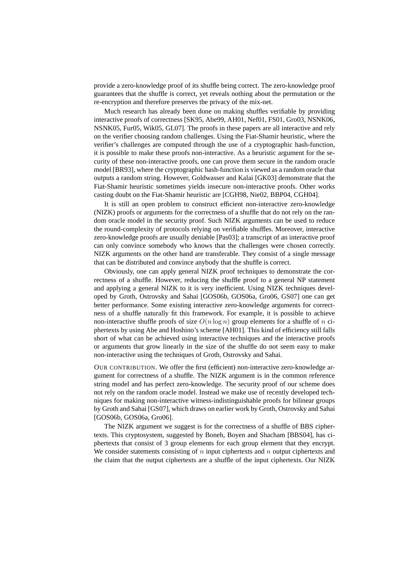provide a zero-knowledge proof of its shuffle being correct. The zero-knowledge proof guarantees that the shuffle is correct, yet reveals nothing about the permutation or the re-encryption and therefore preserves the privacy of the mix-net.

Much research has already been done on making shuffles verifiable by providing interactive proofs of correctness [SK95, Abe99, AH01, Nef01, FS01, Gro03, NSNK06, NSNK05, Fur05, Wik05, GL07]. The proofs in these papers are all interactive and rely on the verifier choosing random challenges. Using the Fiat-Shamir heuristic, where the verifier's challenges are computed through the use of a cryptographic hash-function, it is possible to make these proofs non-interactive. As a heuristic argument for the security of these non-interactive proofs, one can prove them secure in the random oracle model [BR93], where the cryptographic hash-function is viewed as a random oracle that outputs a random string. However, Goldwasser and Kalai [GK03] demonstrate that the Fiat-Shamir heuristic sometimes yields insecure non-interactive proofs. Other works casting doubt on the Fiat-Shamir heuristic are [CGH98, Nie02, BBP04, CGH04].

It is still an open problem to construct efficient non-interactive zero-knowledge (NIZK) proofs or arguments for the correctness of a shuffle that do not rely on the random oracle model in the security proof. Such NIZK arguments can be used to reduce the round-complexity of protocols relying on verifiable shuffles. Moreover, interactive zero-knowledge proofs are usually deniable [Pas03]; a transcript of an interactive proof can only convince somebody who knows that the challenges were chosen correctly. NIZK arguments on the other hand are transferable. They consist of a single message that can be distributed and convince anybody that the shuffle is correct.

Obviously, one can apply general NIZK proof techniques to demonstrate the correctness of a shuffle. However, reducing the shuffle proof to a general NP statement and applying a general NIZK to it is very inefficient. Using NIZK techniques developed by Groth, Ostrovsky and Sahai [GOS06b, GOS06a, Gro06, GS07] one can get better performance. Some existing interactive zero-knowledge arguments for correctness of a shuffle naturally fit this framework. For example, it is possible to achieve non-interactive shuffle proofs of size  $O(n \log n)$  group elements for a shuffle of n ciphertexts by using Abe and Hoshino's scheme [AH01]. This kind of efficiency still falls short of what can be achieved using interactive techniques and the interactive proofs or arguments that grow linearly in the size of the shuffle do not seem easy to make non-interactive using the techniques of Groth, Ostrovsky and Sahai.

OUR CONTRIBUTION. We offer the first (efficient) non-interactive zero-knowledge argument for correctness of a shuffle. The NIZK argument is in the common reference string model and has perfect zero-knowledge. The security proof of our scheme does not rely on the random oracle model. Instead we make use of recently developed techniques for making non-interactive witness-indistinguishable proofs for bilinear groups by Groth and Sahai [GS07], which draws on earlier work by Groth, Ostrovsky and Sahai [GOS06b, GOS06a, Gro06].

The NIZK argument we suggest is for the correctness of a shuffle of BBS ciphertexts. This cryptosystem, suggested by Boneh, Boyen and Shacham [BBS04], has ciphertexts that consist of 3 group elements for each group element that they encrypt. We consider statements consisting of  $n$  input ciphertexts and  $n$  output ciphertexts and the claim that the output ciphertexts are a shuffle of the input ciphertexts. Our NIZK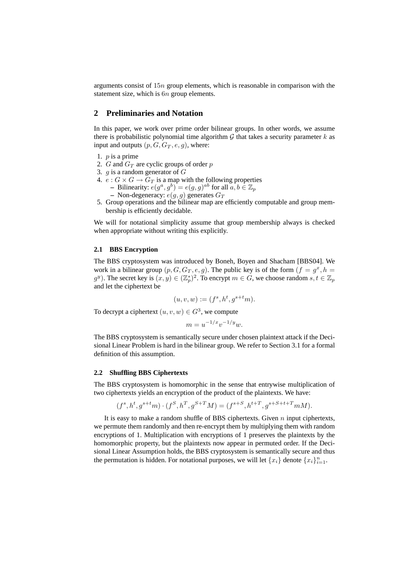arguments consist of 15n group elements, which is reasonable in comparison with the statement size, which is  $6n$  group elements.

# **2 Preliminaries and Notation**

In this paper, we work over prime order bilinear groups. In other words, we assume there is probabilistic polynomial time algorithm  $\mathcal G$  that takes a security parameter k as input and outputs  $(p, G, G_T, e, q)$ , where:

- 1.  $p$  is a prime
- 2. G and  $G_T$  are cyclic groups of order p
- 3.  $q$  is a random generator of  $G$
- 4.  $e: G \times G \to G_T$  is a map with the following properties **–** Bilinearity:  $e(g^a, g^b) = e(g, g)^{ab}$  for all  $\overline{a}, b \in \mathbb{Z}_p$ **–** Non-degeneracy:  $e(g, g)$  generates  $G_T$
- 5. Group operations and the bilinear map are efficiently computable and group membership is efficiently decidable.

We will for notational simplicity assume that group membership always is checked when appropriate without writing this explicitly.

#### **2.1 BBS Encryption**

The BBS cryptosystem was introduced by Boneh, Boyen and Shacham [BBS04]. We work in a bilinear group  $(p, G, G_T, e, g)$ . The public key is of the form  $(f = g^x, h = g^y)$  $(g^y)$ . The secret key is  $(x, y) \in (\mathbb{Z}_p^*)^2$ . To encrypt  $m \in G$ , we choose random  $s, t \in \mathbb{Z}_p$ and let the ciphertext be

$$
(u, v, w) := (fs, ht, gs+tm).
$$

To decrypt a ciphertext  $(u, v, w) \in G^3$ , we compute

 $m = u^{-1/x}v^{-1/y}w.$ 

The BBS cryptosystem is semantically secure under chosen plaintext attack if the Decisional Linear Problem is hard in the bilinear group. We refer to Section 3.1 for a formal definition of this assumption.

# **2.2 Shuffling BBS Ciphertexts**

The BBS cryptosystem is homomorphic in the sense that entrywise multiplication of two ciphertexts yields an encryption of the product of the plaintexts. We have:

$$
(f^s, h^t, g^{s+t}m) \cdot (f^S, h^T, g^{S+T}M) = (f^{s+S}, h^{t+T}, g^{s+S+t+T}mM).
$$

It is easy to make a random shuffle of BBS ciphertexts. Given  $n$  input ciphertexts, we permute them randomly and then re-encrypt them by multiplying them with random encryptions of 1. Multiplication with encryptions of 1 preserves the plaintexts by the homomorphic property, but the plaintexts now appear in permuted order. If the Decisional Linear Assumption holds, the BBS cryptosystem is semantically secure and thus the permutation is hidden. For notational purposes, we will let  $\{x_i\}$  denote  $\{x_i\}_{i=1}^n$ .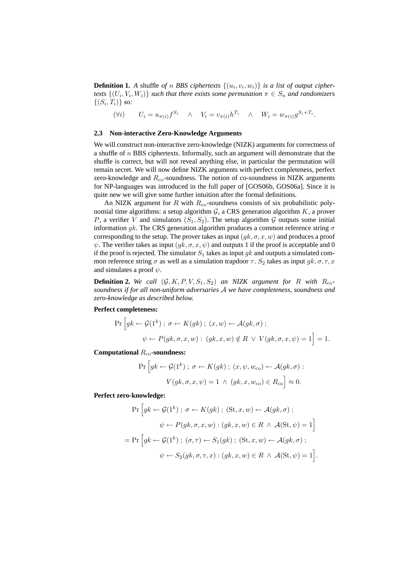**Definition 1.** A shuffle of n BBS ciphertexts  $\{(u_i, v_i, w_i)\}$  is a list of output cipher*texts*  $\{(U_i, V_i, W_i)\}$  *such that there exists some permutation*  $\pi \in S_n$  *and randomizers*  $\{(S_i, T_i)\}\ so:$ 

 $(Vi)$   $U_i = u_{\pi(i)} f^{S_i}$   $\wedge$   $V_i = v_{\pi(i)} h^{T_i}$   $\wedge$   $W_i = w_{\pi(i)} g^{S_i + T_i}$ .

# **2.3 Non-interactive Zero-Knowledge Arguments**

We will construct non-interactive zero-knowledge (NIZK) arguments for correctness of a shuffle of  $n$  BBS ciphertexts. Informally, such an argument will demonstrate that the shuffle is correct, but will not reveal anything else, in particular the permutation will remain secret. We will now define NIZK arguments with perfect completeness, perfect zero-knowledge and  $R_{\rm co}$ -soundness. The notion of co-soundness in NIZK arguments for NP-languages was introduced in the full paper of [GOS06b, GOS06a]. Since it is quite new we will give some further intuition after the formal definitions.

An NIZK argument for R with  $R_{\rm co}$ -soundness consists of six probabilistic polynomial time algorithms: a setup algorithm  $G$ , a CRS generation algorithm  $K$ , a prover P, a verifier V and simulators  $(S_1, S_2)$ . The setup algorithm G outputs some initial information gk. The CRS generation algorithm produces a common reference string  $\sigma$ corresponding to the setup. The prover takes as input  $(gk, \sigma, x, w)$  and produces a proof  $\psi$ . The verifier takes as input  $(gk, \sigma, x, \psi)$  and outputs 1 if the proof is acceptable and 0 if the proof is rejected. The simulator  $S_1$  takes as input gk and outputs a simulated common reference string  $\sigma$  as well as a simulation trapdoor  $\tau$ .  $S_2$  takes as input  $g_k, \sigma, \tau, x$ and simulates a proof  $\psi$ .

**Definition 2.** We call  $(G, K, P, V, S_1, S_2)$  an NIZK argument for R with  $R_{\text{co}}$ *soundness if for all non-uniform adversaries* A *we have completeness, soundness and zero-knowledge as described below.*

# **Perfect completeness:**

$$
\Pr\left[gk \leftarrow \mathcal{G}(1^k) \, ; \, \sigma \leftarrow K(gk) \, ; \, (x, w) \leftarrow \mathcal{A}(gk, \sigma) \, ;
$$
\n
$$
\psi \leftarrow P(gk, \sigma, x, w) \, : \, (gk, x, w) \notin R \ \lor \ V(gk, \sigma, x, \psi) = 1\right] = 1.
$$

**Computational** Rco**-soundness:**

$$
\Pr\left[ gk \leftarrow \mathcal{G}(1^k) \, ; \, \sigma \leftarrow K(gk) \, ; \, (x, \psi, w_{\rm co}) \leftarrow \mathcal{A}(gk, \sigma) \, : \nV(gk, \sigma, x, \psi) = 1 \, \land \, (gk, x, w_{\rm co}) \in R_{\rm co} \right] \approx 0.
$$

**Perfect zero-knowledge:**

$$
\Pr\left[gk \leftarrow \mathcal{G}(1^k) \,;\, \sigma \leftarrow K(gk) \,;\, (\text{St}, x, w) \leftarrow \mathcal{A}(gk, \sigma) \,;\right.\right.
$$
\n
$$
\psi \leftarrow P(gk, \sigma, x, w) \,:\, (gk, x, w) \in R \ \land \ \mathcal{A}(\text{St}, \psi) = 1\right]
$$
\n
$$
= \Pr\left[gk \leftarrow \mathcal{G}(1^k) \,;\, (\sigma, \tau) \leftarrow S_1(gk) \,;\, (\text{St}, x, w) \leftarrow \mathcal{A}(gk, \sigma) \,;\right.\right.
$$
\n
$$
\psi \leftarrow S_2(gk, \sigma, \tau, x) \,:\, (gk, x, w) \in R \ \land \ \mathcal{A}(\text{St}, \psi) = 1\right].
$$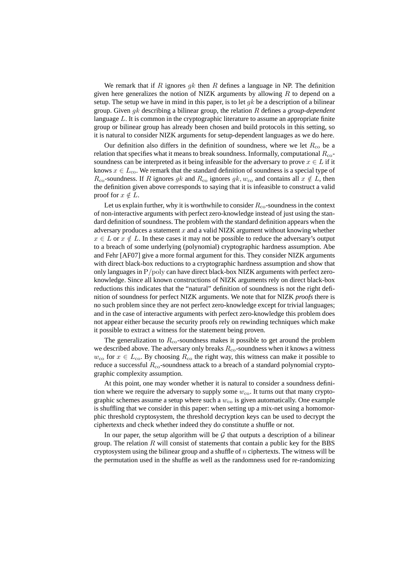We remark that if R ignores  $q_k$  then R defines a language in NP. The definition given here generalizes the notion of NIZK arguments by allowing  $R$  to depend on a setup. The setup we have in mind in this paper, is to let  $gk$  be a description of a bilinear group. Given gk describing a bilinear group, the relation R defines a *group-dependent* language L. It is common in the cryptographic literature to assume an appropriate finite group or bilinear group has already been chosen and build protocols in this setting, so it is natural to consider NIZK arguments for setup-dependent languages as we do here.

Our definition also differs in the definition of soundness, where we let  $R_{\rm co}$  be a relation that specifies what it means to break soundness. Informally, computational  $R_{\rm co}$ soundness can be interpreted as it being infeasible for the adversary to prove  $x \in L$  if it knows  $x \in L_{\text{co}}$ . We remark that the standard definition of soundness is a special type of  $R_{\rm co}$ -soundness. If R ignores gk and  $R_{\rm co}$  ignores gk,  $w_{\rm co}$  and contains all  $x \notin L$ , then the definition given above corresponds to saying that it is infeasible to construct a valid proof for  $x \notin L$ .

Let us explain further, why it is worthwhile to consider  $R_{\rm co}$ -soundness in the context of non-interactive arguments with perfect zero-knowledge instead of just using the standard definition of soundness. The problem with the standard definition appears when the adversary produces a statement  $x$  and a valid NIZK argument without knowing whether  $x \in L$  or  $x \notin L$ . In these cases it may not be possible to reduce the adversary's output to a breach of some underlying (polynomial) cryptographic hardness assumption. Abe and Fehr [AF07] give a more formal argument for this. They consider NIZK arguments with direct black-box reductions to a cryptographic hardness assumption and show that only languages in  $P/$ poly can have direct black-box NIZK arguments with perfect zeroknowledge. Since all known constructions of NIZK arguments rely on direct black-box reductions this indicates that the "natural" definition of soundness is not the right definition of soundness for perfect NIZK arguments. We note that for NIZK *proofs* there is no such problem since they are not perfect zero-knowledge except for trivial languages; and in the case of interactive arguments with perfect zero-knowledge this problem does not appear either because the security proofs rely on rewinding techniques which make it possible to extract a witness for the statement being proven.

The generalization to  $R_{\rm co}$ -soundness makes it possible to get around the problem we described above. The adversary only breaks  $R_{\rm co}$ -soundness when it knows a witness  $w_{\rm co}$  for  $x \in L_{\rm co}$ . By choosing  $R_{\rm co}$  the right way, this witness can make it possible to reduce a successful  $R_{\rm co}$ -soundness attack to a breach of a standard polynomial cryptographic complexity assumption.

At this point, one may wonder whether it is natural to consider a soundness definition where we require the adversary to supply some  $w_{\text{co}}$ . It turns out that many cryptographic schemes assume a setup where such a  $w_{\rm co}$  is given automatically. One example is shuffling that we consider in this paper: when setting up a mix-net using a homomorphic threshold cryptosystem, the threshold decryption keys can be used to decrypt the ciphertexts and check whether indeed they do constitute a shuffle or not.

In our paper, the setup algorithm will be  $G$  that outputs a description of a bilinear group. The relation  $R$  will consist of statements that contain a public key for the BBS cryptosystem using the bilinear group and a shuffle of  $n$  ciphertexts. The witness will be the permutation used in the shuffle as well as the randomness used for re-randomizing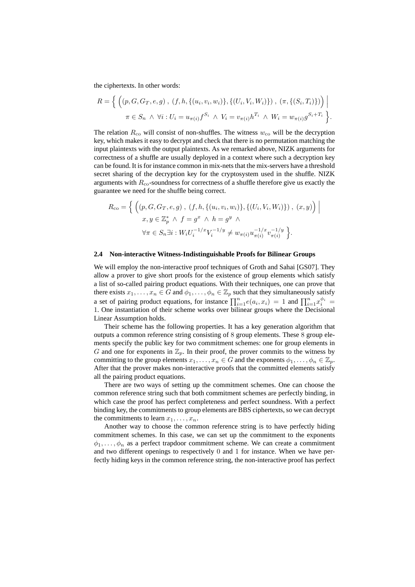the ciphertexts. In other words:

$$
R = \left\{ \left( (p, G, G_T, e, g), (f, h, \{(u_i, v_i, w_i)\}, \{(U_i, V_i, W_i)\}) , (\pi, \{(S_i, T_i)\}) \right) \middle| \right\}
$$
  

$$
\pi \in S_n \land \forall i : U_i = u_{\pi(i)} f^{S_i} \land V_i = v_{\pi(i)} h^{T_i} \land W_i = w_{\pi(i)} g^{S_i + T_i} \right\}.
$$

The relation  $R_{\rm co}$  will consist of non-shuffles. The witness  $w_{\rm co}$  will be the decryption key, which makes it easy to decrypt and check that there is no permutation matching the input plaintexts with the output plaintexts. As we remarked above, NIZK arguments for correctness of a shuffle are usually deployed in a context where such a decryption key can be found. It is for instance common in mix-nets that the mix-servers have a threshold secret sharing of the decryption key for the cryptosystem used in the shuffle. NIZK arguments with  $R_{\rm co}$ -soundness for correctness of a shuffle therefore give us exactly the guarantee we need for the shuffle being correct.

$$
R_{\rm co} = \left\{ \left( (p, G, G_T, e, g), (f, h, \{ (u_i, v_i, w_i) \}, \{ (U_i, V_i, W_i) \}) , (x, y) \right) \middle| \right. \\ x, y \in \mathbb{Z}_p^* \land f = g^x \land h = g^y \land \\ \forall \pi \in S_n \exists i : W_i U_i^{-1/x} V_i^{-1/y} \neq w_{\pi(i)} u_{\pi(i)}^{-1/x} v_{\pi(i)}^{-1/y} \right\}.
$$

# **2.4 Non-interactive Witness-Indistinguishable Proofs for Bilinear Groups**

We will employ the non-interactive proof techniques of Groth and Sahai [GS07]. They allow a prover to give short proofs for the existence of group elements which satisfy a list of so-called pairing product equations. With their techniques, one can prove that there exists  $x_1, \ldots, x_n \in G$  and  $\phi_1, \ldots, \phi_n \in \mathbb{Z}_p$  such that they simultaneously satisfy a set of pairing product equations, for instance  $\prod_{i=1}^{n} e(a_i, x_i) = 1$  and  $\prod_{i=1}^{n} x_i^{\phi_i} =$ 1. One instantiation of their scheme works over bilinear groups where the Decisional Linear Assumption holds.

Their scheme has the following properties. It has a key generation algorithm that outputs a common reference string consisting of 8 group elements. These 8 group elements specify the public key for two commitment schemes: one for group elements in G and one for exponents in  $\mathbb{Z}_p$ . In their proof, the prover commits to the witness by committing to the group elements  $x_1, \ldots, x_n \in G$  and the exponents  $\phi_1, \ldots, \phi_n \in \mathbb{Z}_p$ . After that the prover makes non-interactive proofs that the committed elements satisfy all the pairing product equations.

There are two ways of setting up the commitment schemes. One can choose the common reference string such that both commitment schemes are perfectly binding, in which case the proof has perfect completeness and perfect soundness. With a perfect binding key, the commitments to group elements are BBS ciphertexts, so we can decrypt the commitments to learn  $x_1, \ldots, x_n$ .

Another way to choose the common reference string is to have perfectly hiding commitment schemes. In this case, we can set up the commitment to the exponents  $\phi_1, \ldots, \phi_n$  as a perfect trapdoor commitment scheme. We can create a commitment and two different openings to respectively 0 and 1 for instance. When we have perfectly hiding keys in the common reference string, the non-interactive proof has perfect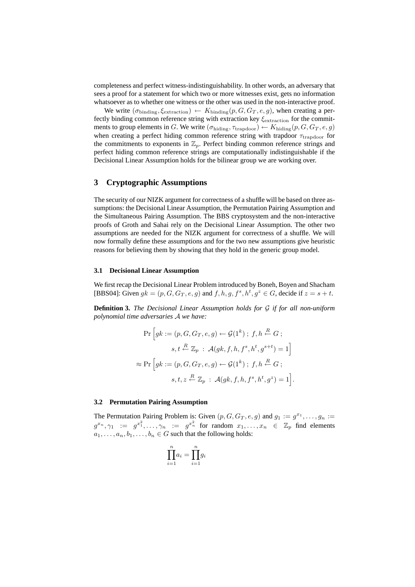completeness and perfect witness-indistinguishability. In other words, an adversary that sees a proof for a statement for which two or more witnesses exist, gets no information whatsoever as to whether one witness or the other was used in the non-interactive proof.

We write  $(\sigma_{\text{binding}}, \xi_{\text{extraction}}) \leftarrow K_{\text{binding}}(p, G, G_T, e, g)$ , when creating a perfectly binding common reference string with extraction key  $\xi_{\text{extraction}}$  for the commitments to group elements in G. We write  $(\sigma_{\text{hiding}}, \tau_{\text{trapdoor}}) \leftarrow K_{\text{hiding}}(p, G, G_T, e, g)$ when creating a perfect hiding common reference string with trapdoor  $\tau_{\text{trapdoor}}$  for the commitments to exponents in  $\mathbb{Z}_p$ . Perfect binding common reference strings and perfect hiding common reference strings are computationally indistinguishable if the Decisional Linear Assumption holds for the bilinear group we are working over.

# **3 Cryptographic Assumptions**

The security of our NIZK argument for correctness of a shuffle will be based on three assumptions: the Decisional Linear Assumption, the Permutation Pairing Assumption and the Simultaneous Pairing Assumption. The BBS cryptosystem and the non-interactive proofs of Groth and Sahai rely on the Decisional Linear Assumption. The other two assumptions are needed for the NIZK argument for correctness of a shuffle. We will now formally define these assumptions and for the two new assumptions give heuristic reasons for believing them by showing that they hold in the generic group model.

#### **3.1 Decisional Linear Assumption**

We first recap the Decisional Linear Problem introduced by Boneh, Boyen and Shacham [BBS04]: Given  $gk = (p, G, G_T, e, g)$  and  $f, h, g, f^s, h^t, g^z \in G$ , decide if  $z = s + t$ .

**Definition 3.** *The Decisional Linear Assumption holds for* G *if for all non-uniform polynomial time adversaries* A *we have:*

$$
\Pr\left[gk := (p, G, G_T, e, g) \leftarrow \mathcal{G}(1^k) \; ; \; f, h \stackrel{R}{\leftarrow} G \; ;
$$
\n
$$
s, t \stackrel{R}{\leftarrow} \mathbb{Z}_p \; : \; \mathcal{A}(gk, f, h, f^s, h^t, g^{s+t}) = 1\right]
$$
\n
$$
\approx \Pr\left[gk := (p, G, G_T, e, g) \leftarrow \mathcal{G}(1^k) \; ; \; f, h \stackrel{R}{\leftarrow} G \; ;
$$
\n
$$
s, t, z \stackrel{R}{\leftarrow} \mathbb{Z}_p \; : \; \mathcal{A}(gk, f, h, f^s, h^t, g^z) = 1\right].
$$

#### **3.2 Permutation Pairing Assumption**

The Permutation Pairing Problem is: Given  $(p, G, G_T, e, g)$  and  $g_1 := g^{x_1}, \ldots, g_n := g^{x_n}$  $g^{x_n}, \gamma_1 := g^{x_1^2}, \ldots, \gamma_n := g^{x_n^2}$  for random  $x_1, \ldots, x_n \in \mathbb{Z}_p$  find elements  $a_1, \ldots, a_n, b_1, \ldots, b_n \in G$  such that the following holds:

$$
\prod_{i=1}^{n} a_i = \prod_{i=1}^{n} g_i
$$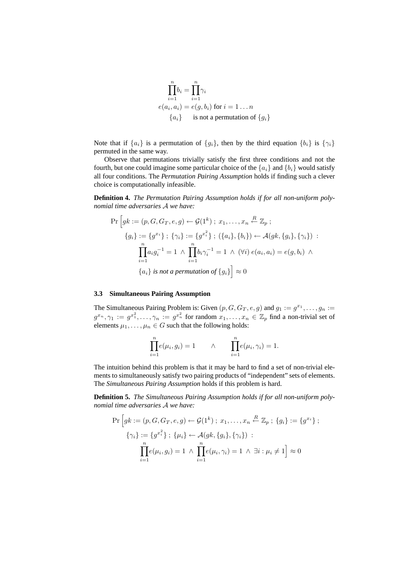$$
\prod_{i=1}^{n} b_i = \prod_{i=1}^{n} \gamma_i
$$
  
\n
$$
e(a_i, a_i) = e(g, b_i) \text{ for } i = 1 ... n
$$
  
\n
$$
\{a_i\} \text{ is not a permutation of } \{g_i\}
$$

Note that if  $\{a_i\}$  is a permutation of  $\{g_i\}$ , then by the third equation  $\{b_i\}$  is  $\{\gamma_i\}$ permuted in the same way.

Observe that permutations trivially satisfy the first three conditions and not the fourth, but one could imagine some particular choice of the  $\{a_i\}$  and  $\{b_i\}$  would satisfy all four conditions. The *Permutation Pairing Assumption* holds if finding such a clever choice is computationally infeasible.

**Definition 4.** *The Permutation Pairing Assumption holds if for all non-uniform polynomial time adversaries* A *we have:*

$$
\Pr\left[ gk := (p, G, G_T, e, g) \leftarrow \mathcal{G}(1^k) \; ; \; x_1, \dots, x_n \stackrel{R}{\leftarrow} \mathbb{Z}_p \; ; \n\{g_i\} := \{g^{x_i}\} \; ; \; \{\gamma_i\} := \{g^{x_i^2}\} \; ; \; (\{a_i\}, \{b_i\}) \leftarrow \mathcal{A}(gk, \{g_i\}, \{\gamma_i\}) \; : \n\prod_{i=1}^n a_i g_i^{-1} = 1 \; \wedge \; \prod_{i=1}^n b_i \gamma_i^{-1} = 1 \; \wedge \; (\forall i) \; e(a_i, a_i) = e(g, b_i) \; \wedge \n\{a_i\} \; \text{is not a permutation of } \{g_i\} \right] \approx 0
$$

# **3.3 Simultaneous Pairing Assumption**

The Simultaneous Pairing Problem is: Given  $(p, G, G_T, e, g)$  and  $g_1 := g^{x_1}, \ldots, g_n := g^{x_n}$  $g^{x_n}, \gamma_1 := g^{x_1^2}, \ldots, \gamma_n := g^{x_n^2}$  for random  $x_1, \ldots, x_n \in \mathbb{Z}_p$  find a non-trivial set of elements  $\mu_1, \ldots, \mu_n \in G$  such that the following holds:

$$
\prod_{i=1}^{n} e(\mu_i, g_i) = 1 \qquad \wedge \qquad \prod_{i=1}^{n} e(\mu_i, \gamma_i) = 1.
$$

The intuition behind this problem is that it may be hard to find a set of non-trivial elements to simultaneously satisfy two pairing products of "independent" sets of elements. The *Simultaneous Pairing Assumption* holds if this problem is hard.

**Definition 5.** *The Simultaneous Pairing Assumption holds if for all non-uniform polynomial time adversaries* A *we have:*

$$
\Pr\left[gk := (p, G, G_T, e, g) \leftarrow \mathcal{G}(1^k) \; ; \; x_1, \dots, x_n \stackrel{R}{\leftarrow} \mathbb{Z}_p \; ; \; \{g_i\} := \{g^{x_i}\} \; ; \; \{\gamma_i\} := \{g^{x_i}\} \; ; \; \{\mu_i\} \leftarrow \mathcal{A}(gk, \{g_i\}, \{\gamma_i\}) \; : \; \prod_{i=1}^n e(\mu_i, g_i) = 1 \; \land \; \prod_{i=1}^n e(\mu_i, \gamma_i) = 1 \; \land \; \exists i : \mu_i \neq 1\right] \approx 0
$$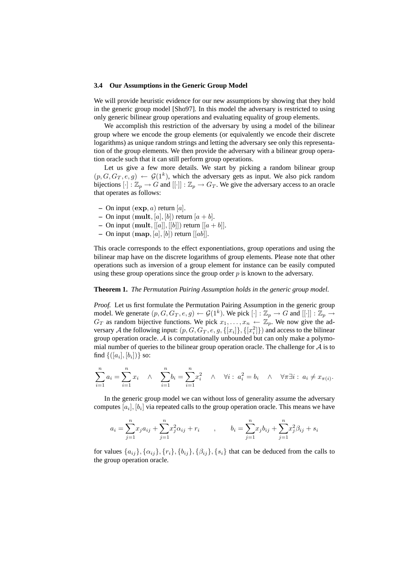#### **3.4 Our Assumptions in the Generic Group Model**

We will provide heuristic evidence for our new assumptions by showing that they hold in the generic group model [Sho97]. In this model the adversary is restricted to using only generic bilinear group operations and evaluating equality of group elements.

We accomplish this restriction of the adversary by using a model of the bilinear group where we encode the group elements (or equivalently we encode their discrete logarithms) as unique random strings and letting the adversary see only this representation of the group elements. We then provide the adversary with a bilinear group operation oracle such that it can still perform group operations.

Let us give a few more details. We start by picking a random bilinear group  $(p, G, G_T, e, g) \leftarrow \mathcal{G}(1^k)$ , which the adversary gets as input. We also pick random bijections  $[\cdot] : \mathbb{Z}_p \to G$  and  $[[\cdot]] : \mathbb{Z}_p \to G_T$ . We give the adversary access to an oracle that operates as follows:

- $-$  On input  $(\exp, a)$  return [a].
- On input  $(\text{mult}, [a], [b])$  return  $[a + b]$ .
- **–** On input  $(\text{mult}, [[a]], [[b]])$  return  $[[a + b]].$
- $-$  On input (map, [a], [b]) return  $[[ab]$ .

This oracle corresponds to the effect exponentiations, group operations and using the bilinear map have on the discrete logarithms of group elements. Please note that other operations such as inversion of a group element for instance can be easily computed using these group operations since the group order  $p$  is known to the adversary.

# **Theorem 1.** *The Permutation Pairing Assumption holds in the generic group model.*

*Proof.* Let us first formulate the Permutation Pairing Assumption in the generic group model. We generate  $(p, G, G_T, e, g) \leftarrow \mathcal{G}(1^k)$ . We pick  $[\cdot] : \mathbb{Z}_p \to G$  and  $[[\cdot]] : \mathbb{Z}_p \to G$  $G_T$  as random bijective functions. We pick  $x_1, \ldots, x_n \leftarrow \mathbb{Z}_p$ . We now give the adversary A the following input:  $(p, G, G_T, e, g, \{[x_i]\}, \{[x_i^2]\})$  and access to the bilinear group operation oracle.  $A$  is computationally unbounded but can only make a polymomial number of queries to the bilinear group operation oracle. The challenge for  $A$  is to find  $\{([a_i], [b_i])\}$  so:

$$
\sum_{i=1}^{n} a_i = \sum_{i=1}^{n} x_i \quad \wedge \quad \sum_{i=1}^{n} b_i = \sum_{i=1}^{n} x_i^2 \quad \wedge \quad \forall i: \ a_i^2 = b_i \quad \wedge \quad \forall \pi \exists i: \ a_i \neq x_{\pi(i)}.
$$

In the generic group model we can without loss of generality assume the adversary computes  $[a_i], [b_i]$  via repeated calls to the group operation oracle. This means we have

$$
a_i = \sum_{j=1}^n x_j a_{ij} + \sum_{j=1}^n x_j^2 \alpha_{ij} + r_i \qquad , \qquad b_i = \sum_{j=1}^n x_j b_{ij} + \sum_{j=1}^n x_j^2 \beta_{ij} + s_i
$$

for values  $\{a_{ij}\}, \{\alpha_{ij}\}, \{r_i\}, \{b_{ij}\}, \{\beta_{ij}\}, \{s_i\}$  that can be deduced from the calls to the group operation oracle.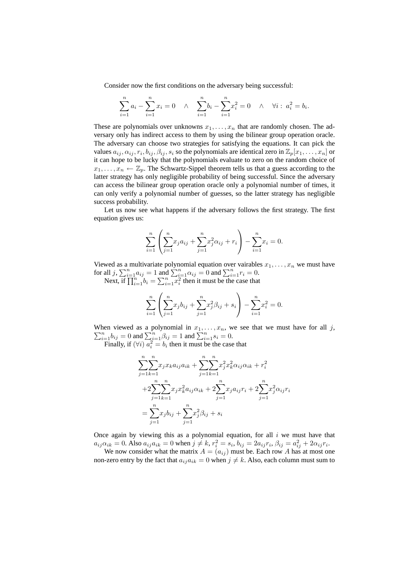Consider now the first conditions on the adversary being successful:

$$
\sum_{i=1}^{n} a_i - \sum_{i=1}^{n} x_i = 0 \quad \wedge \quad \sum_{i=1}^{n} b_i - \sum_{i=1}^{n} x_i^2 = 0 \quad \wedge \quad \forall i : a_i^2 = b_i.
$$

These are polynomials over unknowns  $x_1, \ldots, x_n$  that are randomly chosen. The adversary only has indirect access to them by using the bilinear group operation oracle. The adversary can choose two strategies for satisfying the equations. It can pick the values  $a_{ij}, \alpha_{ij}, r_i, b_{ij}, \beta_{ij}, s_i$  so the polynomials are identical zero in  $\mathbb{Z}_p[x_1, \ldots, x_n]$  or it can hope to be lucky that the polynomials evaluate to zero on the random choice of  $x_1, \ldots, x_n \leftarrow \mathbb{Z}_p$ . The Schwartz-Sippel theorem tells us that a guess according to the latter strategy has only negligible probability of being successful. Since the adversary can access the bilinear group operation oracle only a polynomial number of times, it can only verify a polynomial number of guesses, so the latter strategy has negligible success probability.

Let us now see what happens if the adversary follows the first strategy. The first equation gives us:

$$
\sum_{i=1}^{n} \left( \sum_{j=1}^{n} x_j a_{ij} + \sum_{j=1}^{n} x_j^2 \alpha_{ij} + r_i \right) - \sum_{i=1}^{n} x_i = 0.
$$

Viewed as a multivariate polynomial equation over vairables  $x_1, \ldots, x_n$  we must have for all  $j$ ,  $\sum_{i=1}^{n} a_{ij} = 1$  and  $\sum_{i=1}^{n} \alpha_{ij} = 0$  and  $\sum_{i=1}^{n} r_i = 0$ .

Next, if  $\prod_{i=1}^{n} b_i = \sum_{i=1}^{n} x_i^{\sum_{i=1}^{n} t_i}$  then it must be the case that

$$
\sum_{i=1}^{n} \left( \sum_{j=1}^{n} x_j b_{ij} + \sum_{j=1}^{n} x_j^2 \beta_{ij} + s_i \right) - \sum_{i=1}^{n} x_i^2 = 0.
$$

When viewed as a polynomial in P hen viewed as a polynomial in  $x_1, \ldots, x_n$ , we see that we must have for all j,  $\sum_{i=1}^n b_{ij} = 0$  and  $\sum_{i=1}^n \beta_{ij} = 1$  and  $\sum_{i=1}^n s_i = 0$ .

Finally, if  $(\forall i)$   $a_i^2 = b_i$  then it must be the case that

$$
\sum_{j=1}^{n} \sum_{k=1}^{n} x_j x_k a_{ij} a_{ik} + \sum_{j=1}^{n} \sum_{k=1}^{n} x_j^2 x_k^2 \alpha_{ij} \alpha_{ik} + r_i^2
$$
  
+2
$$
\sum_{j=1}^{n} \sum_{k=1}^{n} x_j x_k^2 a_{ij} \alpha_{ik} + 2 \sum_{j=1}^{n} x_j a_{ij} r_i + 2 \sum_{j=1}^{n} x_j^2 \alpha_{ij} r_i
$$
  
=
$$
\sum_{j=1}^{n} x_j b_{ij} + \sum_{j=1}^{n} x_j^2 \beta_{ij} + s_i
$$

Once again by viewing this as a polynomial equation, for all  $i$  we must have that  $a_{ij}\alpha_{ik} = 0$ . Also  $a_{ij}a_{ik} = 0$  when  $j \neq k$ ,  $r_i^2 = s_i$ ,  $b_{ij} = 2a_{ij}r_i$ ,  $\beta_{ij} = a_{ij}^2 + 2\alpha_{ij}r_i$ .

We now consider what the matrix  $A = (a_{ij})$  must be. Each row A has at most one non-zero entry by the fact that  $a_{ij}a_{ik} = 0$  when  $j \neq k$ . Also, each column must sum to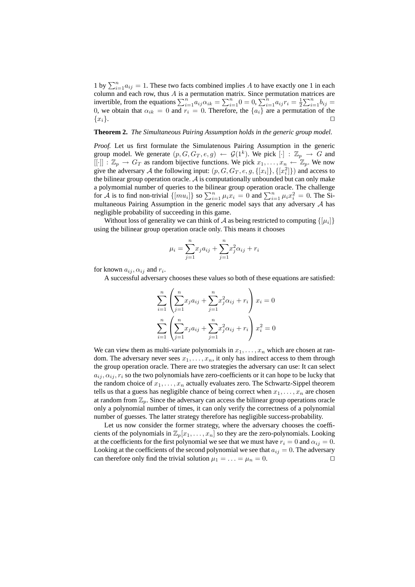1 by  $\sum_{i=1}^{n} a_{ij} = 1$ . These two facts combined implies A to have exactly one 1 in each column and each row, thus  $A$  is a permutation matrix. Since permutation matrices are invertible, from the equations  $\sum_{i=1}^{n} a_{ij} \alpha_{ik} = \sum_{i=1}^{n} 0 = 0$ ,  $\sum_{i=1}^{n} a_{ij} r_i = \frac{1}{2} \sum_{i=1}^{n} b_{ij} =$ 0, we obtain that  $\alpha_{ik} = 0$  and  $r_i = 0$ . Therefore, the  $\{a_i\}$  are a permutation of the  ${x_i}$ .

#### **Theorem 2.** *The Simultaneous Pairing Assumption holds in the generic group model.*

*Proof.* Let us first formulate the Simulatenous Pairing Assumption in the generic group model. We generate  $(p, G, G_T, e, g) \leftarrow \mathcal{G}(1^k)$ . We pick  $[\cdot] : \mathbb{Z}_p \to G$  and  $[[\cdot]] : \mathbb{Z}_p \to G_T$  as random bijective functions. We pick  $x_1, \ldots, x_n \leftarrow \mathbb{Z}_p$ . We now give the adversary A the following input:  $(p, G, G_T, e, g, \{[x_i]\}, \{[x_i^2]\})$  and access to the bilinear group operation oracle.  $A$  is computationally unbounded but can only make a polymomial number of queries to the bilinear group operation oracle. The challenge for  $\tilde{A}$  is to find non-trivial  $\{[mu_i]\}$  so  $\sum_{i=1}^n \mu_i x_i = 0$  and  $\sum_{i=1}^n \mu_i x_i^2 = 0$ . The Simultaneous Pairing Assumption in the generic model says that any adversary A has negligible probability of succeeding in this game.

Without loss of generality we can think of A as being restricted to computing  $\{[\mu_i]\}$ using the bilinear group operation oracle only. This means it chooses

$$
\mu_i = \sum_{j=1}^n x_j a_{ij} + \sum_{j=1}^n x_j^2 \alpha_{ij} + r_i
$$

for known  $a_{ij}, \alpha_{ij}$  and  $r_i$ .

A successful adversary chooses these values so both of these equations are satisfied:

$$
\sum_{i=1}^{n} \left( \sum_{j=1}^{n} x_j a_{ij} + \sum_{j=1}^{n} x_j^2 \alpha_{ij} + r_i \right) x_i = 0
$$
  

$$
\sum_{i=1}^{n} \left( \sum_{j=1}^{n} x_j a_{ij} + \sum_{j=1}^{n} x_j^2 \alpha_{ij} + r_i \right) x_i^2 = 0
$$

We can view them as multi-variate polynomials in  $x_1, \ldots, x_n$  which are chosen at random. The adversary never sees  $x_1, \ldots, x_n$ , it only has indirect access to them through the group operation oracle. There are two strategies the adversary can use: It can select  $a_{ij}, \alpha_{ij}, r_i$  so the two polynomials have zero-coefficients or it can hope to be lucky that the random choice of  $x_1, \ldots, x_n$  actually evaluates zero. The Schwartz-Sippel theorem tells us that a guess has negligible chance of being correct when  $x_1, \ldots, x_n$  are chosen at random from  $\mathbb{Z}_p$ . Since the adversary can access the bilinear group operations oracle only a polynomial number of times, it can only verify the correctness of a polynomial number of guesses. The latter strategy therefore has negligible success-probability.

Let us now consider the former strategy, where the adversary chooses the coefficients of the polynomials in  $\mathbb{Z}_p[x_1, \ldots, x_n]$  so they are the zero-polynomials. Looking at the coefficients for the first polynomial we see that we must have  $r_i = 0$  and  $\alpha_{ij} = 0$ . Looking at the coefficients of the second polynomial we see that  $a_{ij} = 0$ . The adversary can therefore only find the trivial solution  $\mu_1 = \ldots = \mu_n = 0$ .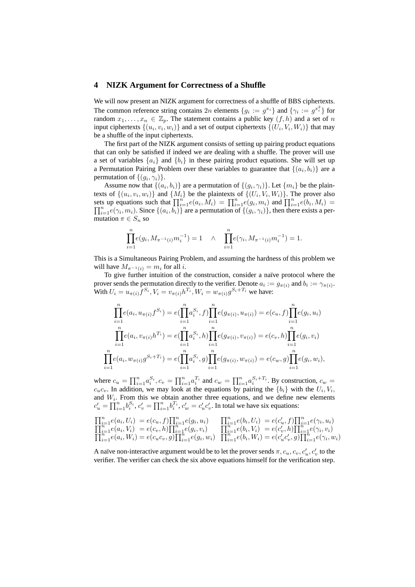# **4 NIZK Argument for Correctness of a Shuffle**

We will now present an NIZK argument for correctness of a shuffle of BBS ciphertexts. The common reference string contains  $2n$  elements  $\{g_i := g^{x_i}\}\$  and  $\{\gamma_i := g^{x_i^2}\}\$  for random  $x_1, \ldots, x_n \in \mathbb{Z}_p$ . The statement contains a public key  $(f, h)$  and a set of n input ciphertexts  $\{(u_i, v_i, w_i)\}$  and a set of output ciphertexts  $\{(U_i, V_i, W_i)\}$  that may be a shuffle of the input ciphertexts.

The first part of the NIZK argument consists of setting up pairing product equations that can only be satisfied if indeed we are dealing with a shuffle. The prover will use a set of variables  $\{a_i\}$  and  $\{b_i\}$  in these pairing product equations. She will set up a Permutation Pairing Problem over these variables to guarantee that  $\{(a_i, b_i)\}\$ are a permutation of  $\{(g_i, \gamma_i)\}.$ 

Assume now that  $\{(a_i, b_i)\}\$  are a permutation of  $\{(g_i, \gamma_i)\}\$ . Let  $\{m_i\}$  be the plaintexts of  $\{(u_i, v_i, w_i)\}$  and  $\{M_i\}$  be the plaintexts of  $\{(U_i, V_i, W_i)\}$ . The prover also sets up equations such that  $\prod_{i=1}^{n} e(a_i, M_i) = \prod_{i=1}^{n} e(g_i, m_i)$  and  $\prod_{i=1}^{n} e(b_i, M_i) =$  $\prod_{i=1}^{n} e(\gamma_i, m_i)$ . Since  $\{(a_i, b_i)\}\$  are a permutation of  $\{(g_i, \gamma_i)\}\)$ , then there exists a permutation  $\pi \in S_n$  so

$$
\prod_{i=1}^{n} e(g_i, M_{\pi^{-1}(i)} m_i^{-1}) = 1 \quad \wedge \quad \prod_{i=1}^{n} e(\gamma_i, M_{\pi^{-1}(i)} m_i^{-1}) = 1.
$$

This is a Simultaneous Pairing Problem, and assuming the hardness of this problem we will have  $M_{\pi^{-1}(i)} = m_i$  for all *i*.

To give further intuition of the construction, consider a naïve protocol where the prover sends the permutation directly to the verifier. Denote  $a_i := g_{\pi(i)}$  and  $b_i := \gamma_{\pi(i)}$ . With  $U_i = u_{\pi(i)} f^{S_i}$ ,  $V_i = v_{\pi(i)} h^{T_i}$ ,  $W_i = w_{\pi(i)} g^{S_i + T_i}$  we have:

$$
\prod_{i=1}^{n} e(a_i, u_{\pi(i)} f^{S_i}) = e(\prod_{i=1}^{n} a_i^{S_i}, f) \prod_{i=1}^{n} e(g_{\pi(i)}, u_{\pi(i)}) = e(c_u, f) \prod_{i=1}^{n} e(g_i, u_i)
$$
\n
$$
\prod_{i=1}^{n} e(a_i, v_{\pi(i)} h^{T_i}) = e(\prod_{i=1}^{n} a_i^{S_i}, h) \prod_{i=1}^{n} e(g_{\pi(i)}, v_{\pi(i)}) = e(c_v, h) \prod_{i=1}^{n} e(g_i, v_i)
$$
\n
$$
\prod_{i=1}^{n} e(a_i, w_{\pi(i)} g^{S_i + T_i}) = e(\prod_{i=1}^{n} a_i^{S_i}, g) \prod_{i=1}^{n} e(g_{\pi(i)}, w_{\pi(i)}) = e(c_w, g) \prod_{i=1}^{n} e(g_i, w_i),
$$

where  $c_u = \prod_{i=1}^n a_i^{S_i}$ ,  $c_v = \prod_{i=1}^n a_i^{T_i}$  and  $c_w = \prod_{i=1}^n a_i^{S_i+T_i}$ . By construction,  $c_w$  $c_u c_v$ . In addition, we may look at the equations by pairing the  $\{b_i\}$  with the  $U_i, V_i$ , and  $W_i$ . From this we obtain another three equations, and we define new elements  $c'_u = \prod_{i=1}^n b_i^{S_i}$ ,  $c'_v = \prod_{i=1}^n b_i^{T_i}$ ,  $c'_w = c'_u c'_v$ . In total we have six equations:

$$
\begin{array}{ll}\n\prod_{i=1}^{n} e(a_i, U_i) = e(c_u, f)\prod_{i=1}^{n} e(g_i, u_i) & \prod_{i=1}^{n} e(b_i, U_i) = e(c'_u, f)\prod_{i=1}^{n} e(\gamma_i, u_i) \\
\prod_{i=1}^{n} e(a_i, V_i) = e(c_v, h)\prod_{i=1}^{n} e(g_i, v_i) & \prod_{i=1}^{n} e(b_i, V_i) = e(c'_v, h)\prod_{i=1}^{n} e(\gamma_i, v_i) \\
\prod_{i=1}^{n} e(a_i, W_i) = e(c_u c_v, g)\prod_{i=1}^{n} e(g_i, w_i) & \prod_{i=1}^{n} e(b_i, W_i) = e(c'_u c'_v, g)\prod_{i=1}^{n} e(\gamma_i, w_i)\n\end{array}
$$

A naïve non-interactive argument would be to let the prover sends  $\pi, c_u, c_v, c'_u, c'_v$  to the verifier. The verifier can check the six above equations himself for the verification step.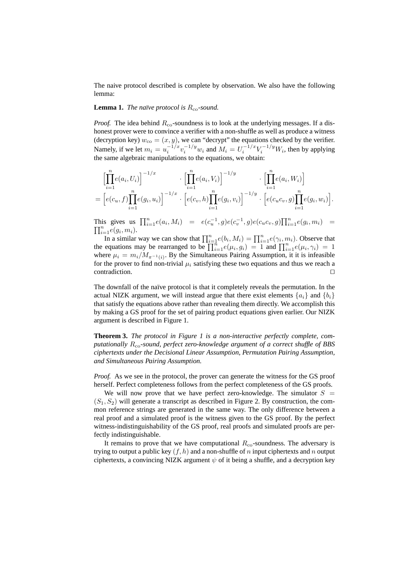The naive protocol described is complete by observation. We also have the following lemma:

#### **Lemma 1.** *The naïve protocol is*  $R_{\rm co}$ -sound.

*Proof.* The idea behind  $R_{\rm co}$ -soundness is to look at the underlying messages. If a dishonest prover were to convince a verifier with a non-shuffle as well as produce a witness (decryption key)  $w_{\text{co}} = (x, y)$ , we can "decrypt" the equations checked by the verifier. Namely, if we let  $m_i = u_i^{-1/x} v_i^{-1/y} w_i$  and  $M_i = U_i^{-1/x} V_i^{-1/y} W_i$ , then by applying the same algebraic manipulations to the equations, we obtain:

$$
\left[\prod_{i=1}^{n} e(a_i, U_i)\right]^{-1/x} \cdot \left[\prod_{i=1}^{n} e(a_i, V_i)\right]^{-1/y} \cdot \left[\prod_{i=1}^{n} e(a_i, W_i)\right]
$$
  
=  $\left[e(c_u, f)\prod_{i=1}^{n} e(g_i, u_i)\right]^{-1/x} \cdot \left[e(c_v, h)\prod_{i=1}^{n} e(g_i, v_i)\right]^{-1/y} \cdot \left[e(c_u c_v, g)\prod_{i=1}^{n} e(g_i, w_i)\right].$ 

This gives us  $\prod_{i=1}^{n} e(a_i, M_i) = e(c_u^{-1}, g)e(c_v^{-1}, g)e(c_u c_v, g)\prod_{i=1}^{n} e(g_i, m_i) =$  $\prod_{i=1}^n e(g_i, m_i)$ .

In a similar way we can show that  $\prod_{i=1}^{n} e(b_i, M_i) = \prod_{i=1}^{n} e(\gamma_i, m_i)$ . Observe that the equations may be rearranged to be  $\prod_{i=1}^{n} e(\mu_i, g_i) = 1$  and  $\prod_{i=1}^{n} e(\mu_i, \gamma_i) = 1$ where  $\mu_i = m_i/M_{\pi^{-1}(i)}$ . By the Simultaneous Pairing Assumption, it it is infeasible for the prover to find non-trivial  $\mu_i$  satisfying these two equations and thus we reach a  $\Box$ contradiction.  $\Box$ 

The downfall of the naïve protocol is that it completely reveals the permutation. In the actual NIZK argument, we will instead argue that there exist elements  $\{a_i\}$  and  $\{b_i\}$ that satisfy the equations above rather than revealing them directly. We accomplish this by making a GS proof for the set of pairing product equations given earlier. Our NIZK argument is described in Figure 1.

**Theorem 3.** *The protocol in Figure 1 is a non-interactive perfectly complete, computationally* Rco*-sound, perfect zero-knowledge argument of a correct shuffle of BBS ciphertexts under the Decisional Linear Assumption, Permutation Pairing Assumption, and Simultaneous Pairing Assumption.*

*Proof.* As we see in the protocol, the prover can generate the witness for the GS proof herself. Perfect completeness follows from the perfect completeness of the GS proofs.

We will now prove that we have perfect zero-knowledge. The simulator  $S =$  $(S_1, S_2)$  will generate a transcript as described in Figure 2. By construction, the common reference strings are generated in the same way. The only difference between a real proof and a simulated proof is the witness given to the GS proof. By the perfect witness-indistinguishability of the GS proof, real proofs and simulated proofs are perfectly indistinguishable.

It remains to prove that we have computational  $R_{\rm co}$ -soundness. The adversary is trying to output a public key  $(f, h)$  and a non-shuffle of n input ciphertexts and n output ciphertexts, a convincing NIZK argument  $\psi$  of it being a shuffle, and a decryption key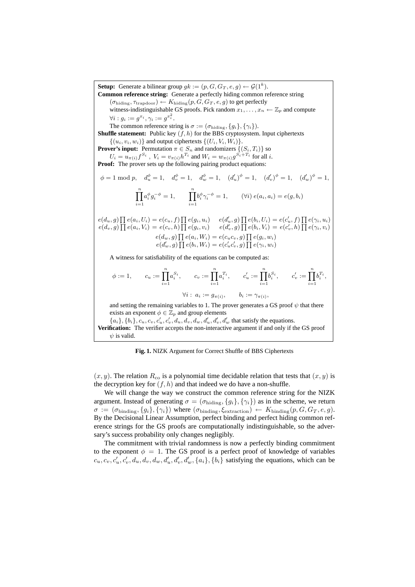**Setup:** Generate a bilinear group  $gk := (p, G, G_T, e, g) \leftarrow \mathcal{G}(1^k)$ . **Common reference string:** Generate a perfectly hiding common reference string  $(\sigma_{\text{hiding}}, \tau_{\text{trapdoor}}) \leftarrow K_{\text{hiding}}(p, G, G_T, e, g)$  to get perfectly witness-indistinguishable GS proofs. Pick random  $x_1, \ldots, x_n \leftarrow \mathbb{Z}_p$  and compute  $\forall i: g_i:=g^{x_i}, \gamma_i:=g^{x_i^2}.$ The common reference string is  $\sigma := (\sigma_{\text{hiding}}, \{g_i\}, \{\gamma_i\}).$ **Shuffle statement:** Public key  $(f, h)$  for the BBS cryptosystem. Input ciphertexts  $\{(u_i, v_i, w_i)\}\$ and output ciphertexts  $\{(U_i, V_i, W_i)\}\$ . **Prover's input:** Permutation  $\pi \in S_n$  and randomizers  $\{(S_i, T_i)\}\)$  so  $U_i = u_{\pi(i)} f^{S_i}$  ,  $V_i = v_{\pi(i)} h^{T_i}$  and  $W_i = w_{\pi(i)} g^{S_i + T_i}$  for all  $i$ . **Proof:** The prover sets up the following pairing product equations:  $\phi = 1 \bmod p, \quad d_u^{\phi} = 1, \quad d_v^{\phi} = 1, \quad d_w^{\phi} = 1, \quad (d_u')^{\phi} = 1, \quad (d_v')^{\phi} = 1, \quad (d_w')^{\phi} = 1,$  $\prod^n$  $i=1$  $a_i^{\phi} g_i^{-\phi} = 1, \qquad \prod^{n}$  $i=1$  $b_i^{\phi} \gamma_i^{-\phi} = 1, \qquad (\forall i) \ e(a_i, a_i) = e(g, b_i)$  $e(d_u, g) \prod e(a_i, U_i) = e(c_u, f) \prod e(g_i, u_i)$   $e(d'_u, g) \prod e(b_i, U_i) = e(c'_u, f) \prod e(\gamma_i, u_i)$  $e(d_v, g) \prod e(a_i, V_i) = e(c_v, h) \prod e(g_i, v_i)$   $e(d'_v, g) \prod e(b_i, V_i) = e(c'_v, h) \prod e(\gamma_i, v_i)$  $e(d_w, g) \prod e(a_i, W_i) = e(c_u c_v, g) \prod e(g_i, w_i)$  $e(d'_{w}, g) \prod e(b_{i}, W_{i}) = e(c'_{u}c'_{v}, g) \prod e(\gamma_{i}, w_{i})$ A witness for satisfiability of the equations can be computed as:  $\phi := 1, \quad c_u := \prod^n$  $i=1$  $a_i^{S_i}, \qquad c_v := \prod^n$  $i=1$  $a_i^{T_i}, \qquad c_u' := \prod^n$  $i=1$  $b_i^{S_i}, \qquad c_v' := \prod^n$  $i=1$  $b_i^{T_i},$  $\forall i: a_i := g_{\pi(i)}, \qquad b_i := \gamma_{\pi(i)},$ and setting the remaining variables to 1. The prover generates a GS proof  $\psi$  that there exists an exponent  $\phi \in \mathbb{Z}_p$  and group elements  ${a_i}, {b_i}, {c_u}, {c_v}, {c'_u}, {c'_v}, {d_u}, {d_v}, {d'_u}, {d'_v}, {d'_w}$  that satisfy the equations. **Verification:** The verifier accepts the non-interactive argument if and only if the GS proof  $\psi$  is valid.

**Fig. 1.** NIZK Argument for Correct Shuffle of BBS Ciphertexts

 $(x, y)$ . The relation  $R_{\rm co}$  is a polynomial time decidable relation that tests that  $(x, y)$  is the decryption key for  $(f, h)$  and that indeed we do have a non-shuffle.

We will change the way we construct the common reference string for the NIZK argument. Instead of generating  $\sigma = (\sigma_{\text{hiding}}, \{g_i\}, \{\gamma_i\})$  as in the scheme, we return  $\sigma := (\sigma_{\text{binding}}, \{g_i\}, \{\gamma_i\})$  where  $(\sigma_{\text{binding}}, \xi_{\text{extraction}}) \leftarrow K_{\text{binding}}(p, G, G_T, e, g)$ . By the Decisional Linear Assumption, perfect binding and perfect hiding common reference strings for the GS proofs are computationally indistinguishable, so the adversary's success probability only changes negligibly.

The commitment with trivial randomness is now a perfectly binding commitment to the exponent  $\phi = 1$ . The GS proof is a perfect proof of knowledge of variables  $c_u, c_v, c'_u, c'_v, d_u, d_v, d_w, d'_u, d'_v, d'_w, \{a_i\}, \{b_i\}$  satisfying the equations, which can be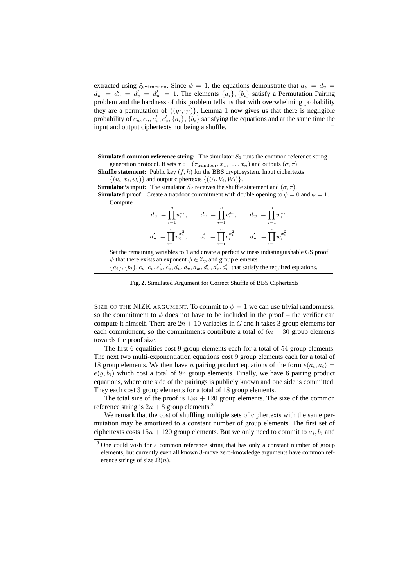extracted using  $\xi_{\text{extraction}}$ . Since  $\phi = 1$ , the equations demonstrate that  $d_u = d_v =$  $d_w = d'_u = d'_v = d'_w = 1$ . The elements  $\{a_i\}, \{b_i\}$  satisfy a Permutation Pairing problem and the hardness of this problem tells us that with overwhelming probability they are a permutation of  $\{(g_i, \gamma_i)\}\)$ . Lemma 1 now gives us that there is negligible probability of  $c_u, c_v, c'_u, c'_v, \{a_i\}, \{b_i\}$  satisfying the equations and at the same time the input and output ciphertexts not being a shuffle.  $\Box$ 

**Simulated common reference string:** The simulator  $S_1$  runs the common reference string generation protocol. It sets  $\tau := (\tau_{\text{tradoor}}, x_1, \ldots, x_n)$  and outputs  $(\sigma, \tau)$ . **Shuffle statement:** Public key  $(f, h)$  for the BBS cryptosystem. Input ciphertexts  $\{(u_i, v_i, w_i)\}\$ and output ciphertexts  $\{(U_i, V_i, W_i)\}\$ . **Simulator's input:** The simulator  $S_2$  receives the shuffle statement and  $(\sigma, \tau)$ . **Simulated proof:** Create a trapdoor commitment with double opening to  $\phi = 0$  and  $\phi = 1$ . Compute  $d_u := \prod^n$  $i=1$  $u_i^{x_i}, \qquad d_v := \prod^n$  $i=1$  $v_i^{x_i}, \qquad d_w := \prod^n$  $i=1$  $w_i^{x_i},$  $d'_u := \prod^n$  $i=1$  $u_i^{x_i^2}, \qquad d_v' := \prod^n$  $i=1$  $v_i^{x_i^2}, \qquad d_w' := \prod^n$  $i=1$  $w_i^{x_i^2}$ . Set the remaining variables to 1 and create a perfect witness indistinguishable GS proof  $\psi$  that there exists an exponent  $\phi \in \mathbb{Z}_p$  and group elements  ${a_i}, {b_i}, {c_u}, {c_v}, {c'_u}, {c'_v}, {d_u}, {d_v}, {d'_u}, {d'_v}, {d'_w}$  that satisfy the required equations.

**Fig. 2.** Simulated Argument for Correct Shuffle of BBS Ciphertexts

SIZE OF THE NIZK ARGUMENT. To commit to  $\phi = 1$  we can use trivial randomness, so the commitment to  $\phi$  does not have to be included in the proof – the verifier can compute it himself. There are  $2n + 10$  variables in G and it takes 3 group elements for each commitment, so the commitments contribute a total of  $6n + 30$  group elements towards the proof size.

The first 6 equalities cost 9 group elements each for a total of 54 group elements. The next two multi-exponentiation equations cost 9 group elements each for a total of 18 group elements. We then have *n* pairing product equations of the form  $e(a_i, a_i)$  $e(q, b_i)$  which cost a total of 9n group elements. Finally, we have 6 pairing product equations, where one side of the pairings is publicly known and one side is committed. They each cost 3 group elements for a total of 18 group elements.

The total size of the proof is  $15n + 120$  group elements. The size of the common reference string is  $2n + 8$  group elements.<sup>3</sup>

We remark that the cost of shuffling multiple sets of ciphertexts with the same permutation may be amortized to a constant number of group elements. The first set of ciphertexts costs  $15n + 120$  group elements. But we only need to commit to  $a_i, b_i$  and

<sup>&</sup>lt;sup>3</sup> One could wish for a common reference string that has only a constant number of group elements, but currently even all known 3-move zero-knowledge arguments have common reference strings of size  $\Omega(n)$ .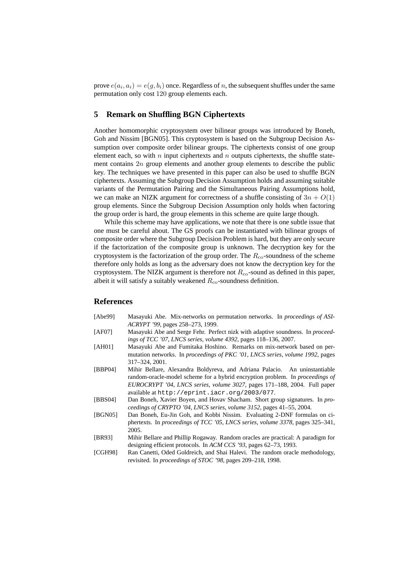prove  $e(a_i, a_i) = e(g, b_i)$  once. Regardless of n, the subsequent shuffles under the same permutation only cost 120 group elements each.

# **5 Remark on Shuffling BGN Ciphertexts**

Another homomorphic cryptosystem over bilinear groups was introduced by Boneh, Goh and Nissim [BGN05]. This cryptosystem is based on the Subgroup Decision Assumption over composite order bilinear groups. The ciphertexts consist of one group element each, so with  $n$  input ciphertexts and  $n$  outputs ciphertexts, the shuffle statement contains 2n group elements and another group elements to describe the public key. The techniques we have presented in this paper can also be used to shuffle BGN ciphertexts. Assuming the Subgroup Decision Assumption holds and assuming suitable variants of the Permutation Pairing and the Simultaneous Pairing Assumptions hold, we can make an NIZK argument for correctness of a shuffle consisting of  $3n + O(1)$ group elements. Since the Subgroup Decision Assumption only holds when factoring the group order is hard, the group elements in this scheme are quite large though.

While this scheme may have applications, we note that there is one subtle issue that one must be careful about. The GS proofs can be instantiated with bilinear groups of composite order where the Subgroup Decision Problem is hard, but they are only secure if the factorization of the composite group is unknown. The decryption key for the cryptosystem is the factorization of the group order. The  $R_{\rm co}$ -soundness of the scheme therefore only holds as long as the adversary does not know the decryption key for the cryptosystem. The NIZK argument is therefore not  $R_{\rm co}$ -sound as defined in this paper, albeit it will satisfy a suitably weakened  $R_{\rm co}$ -soundness definition.

# **References**

- [Abe99] Masayuki Abe. Mix-networks on permutation networks. In *proceedings of ASI-ACRYPT '99*, pages 258–273, 1999.
- [AF07] Masayuki Abe and Serge Fehr. Perfect nizk with adaptive soundness. In *proceedings of TCC '07, LNCS series, volume 4392*, pages 118–136, 2007.
- [AH01] Masayuki Abe and Fumitaka Hoshino. Remarks on mix-network based on permutation networks. In *proceedings of PKC '01, LNCS series, volume 1992*, pages 317–324, 2001.
- [BBP04] Mihir Bellare, Alexandra Boldyreva, and Adriana Palacio. An uninstantiable random-oracle-model scheme for a hybrid encryption problem. In *proceedings of EUROCRYPT '04, LNCS series, volume 3027*, pages 171–188, 2004. Full paper available at http://eprint.iacr.org/2003/077.
- [BBS04] Dan Boneh, Xavier Boyen, and Hovav Shacham. Short group signatures. In *proceedings of CRYPTO '04, LNCS series, volume 3152*, pages 41–55, 2004.
- [BGN05] Dan Boneh, Eu-Jin Goh, and Kobbi Nissim. Evaluating 2-DNF formulas on ciphertexts. In *proceedings of TCC '05, LNCS series, volume 3378*, pages 325–341, 2005.
- [BR93] Mihir Bellare and Phillip Rogaway. Random oracles are practical: A paradigm for designing efficient protocols. In *ACM CCS '93*, pages 62–73, 1993.
- [CGH98] Ran Canetti, Oded Goldreich, and Shai Halevi. The random oracle methodology, revisited. In *proceedings of STOC '98*, pages 209–218, 1998.